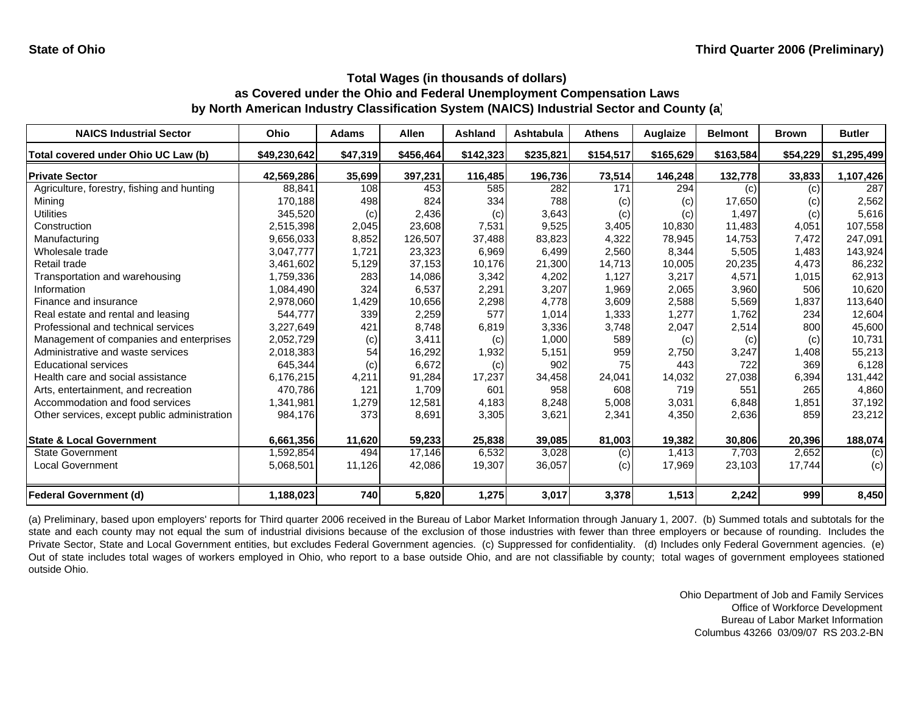| <b>NAICS Industrial Sector</b>               | Ohio         | <b>Adams</b> | <b>Allen</b> | Ashland   | <b>Ashtabula</b> | <b>Athens</b> | Auglaize  | <b>Belmont</b> | <b>Brown</b> | <b>Butler</b> |
|----------------------------------------------|--------------|--------------|--------------|-----------|------------------|---------------|-----------|----------------|--------------|---------------|
| Total covered under Ohio UC Law (b)          | \$49,230,642 | \$47,319     | \$456,464    | \$142,323 | \$235,821        | \$154,517     | \$165,629 | \$163,584      | \$54,229     | \$1,295,499   |
| <b>Private Sector</b>                        | 42,569,286   | 35,699       | 397,231      | 116,485   | 196,736          | 73,514        | 146,248   | 132,778        | 33,833       | 1,107,426     |
| Agriculture, forestry, fishing and hunting   | 88,841       | 108          | 453          | 585       | 282              | 171           | 294       | (c)            | (c)          | 287           |
| Mining                                       | 170,188      | 498          | 824          | 334       | 788              | (c)           | (c)       | 17,650         | (c)          | 2,562         |
| Utilities                                    | 345,520      | (c)          | 2,436        | (c)       | 3,643            | (c)           | (c)       | 1,497          | (c)          | 5,616         |
| Construction                                 | 2,515,398    | 2,045        | 23,608       | 7,531     | 9,525            | 3,405         | 10,830    | 11,483         | 4,051        | 107,558       |
| Manufacturing                                | 9,656,033    | 8,852        | 126,507      | 37,488    | 83,823           | 4,322         | 78,945    | 14,753         | 7,472        | 247,091       |
| Wholesale trade                              | 3,047,777    | 1,721        | 23,323       | 6,969     | 6,499            | 2,560         | 8,344     | 5,505          | 1,483        | 143,924       |
| Retail trade                                 | 3,461,602    | 5,129        | 37,153       | 10,176    | 21,300           | 14,713        | 10,005    | 20,235         | 4,473        | 86,232        |
| Transportation and warehousing               | 1,759,336    | 283          | 14,086       | 3,342     | 4,202            | 1,127         | 3,217     | 4,571          | 1,015        | 62,913        |
| Information                                  | 1,084,490    | 324          | 6,537        | 2,291     | 3,207            | 1,969         | 2,065     | 3,960          | 506          | 10,620        |
| Finance and insurance                        | 2,978,060    | 1,429        | 10,656       | 2,298     | 4,778            | 3,609         | 2,588     | 5,569          | 1,837        | 113,640       |
| Real estate and rental and leasing           | 544,777      | 339          | 2,259        | 577       | 1,014            | 1,333         | 1,277     | 1,762          | 234          | 12,604        |
| Professional and technical services          | 3,227,649    | 421          | 8,748        | 6,819     | 3,336            | 3,748         | 2,047     | 2,514          | 800          | 45,600        |
| Management of companies and enterprises      | 2,052,729    | (c)          | 3,411        | (c)       | 1,000            | 589           | (c)       | (c)            | (c)          | 10,731        |
| Administrative and waste services            | 2,018,383    | 54           | 16,292       | 1,932     | 5,151            | 959           | 2,750     | 3,247          | 1,408        | 55,213        |
| <b>Educational services</b>                  | 645,344      | (c)          | 6,672        | (c)       | 902              | 75            | 443       | 722            | 369          | 6,128         |
| Health care and social assistance            | 6,176,215    | 4,211        | 91,284       | 17,237    | 34,458           | 24,041        | 14,032    | 27,038         | 6,394        | 131,442       |
| Arts, entertainment, and recreation          | 470.786      | 121          | 1,709        | 601       | 958              | 608           | 719       | 551            | 265          | 4,860         |
| Accommodation and food services              | 1,341,981    | 1,279        | 12,581       | 4,183     | 8,248            | 5,008         | 3,031     | 6,848          | 1,851        | 37,192        |
| Other services, except public administration | 984,176      | 373          | 8,691        | 3,305     | 3,621            | 2,341         | 4,350     | 2,636          | 859          | 23,212        |
| <b>State &amp; Local Government</b>          | 6,661,356    | 11,620       | 59,233       | 25,838    | 39,085           | 81,003        | 19,382    | 30,806         | 20,396       | 188,074       |
| <b>State Government</b>                      | 1,592,854    | 494          | 17,146       | 6,532     | 3,028            | (c)           | 1,413     | 7,703          | 2,652        | (c)           |
| <b>Local Government</b>                      | 5,068,501    | 11,126       | 42,086       | 19,307    | 36,057           | (c)           | 17,969    | 23,103         | 17,744       | (c)           |
| <b>Federal Government (d)</b>                | 1,188,023    | 740          | 5,820        | 1,275     | 3,017            | 3,378         | 1,513     | 2,242          | 999          | 8,450         |

(a) Preliminary, based upon employers' reports for Third quarter 2006 received in the Bureau of Labor Market Information through January 1, 2007. (b) Summed totals and subtotals for the state and each county may not equal the sum of industrial divisions because of the exclusion of those industries with fewer than three employers or because of rounding. Includes the Private Sector, State and Local Government entities, but excludes Federal Government agencies. (c) Suppressed for confidentiality. (d) Includes only Federal Government agencies. (e) Out of state includes total wages of workers employed in Ohio, who report to <sup>a</sup> base outside Ohio, and are not classifiable by county; total wages of government employees stationed outside Ohio.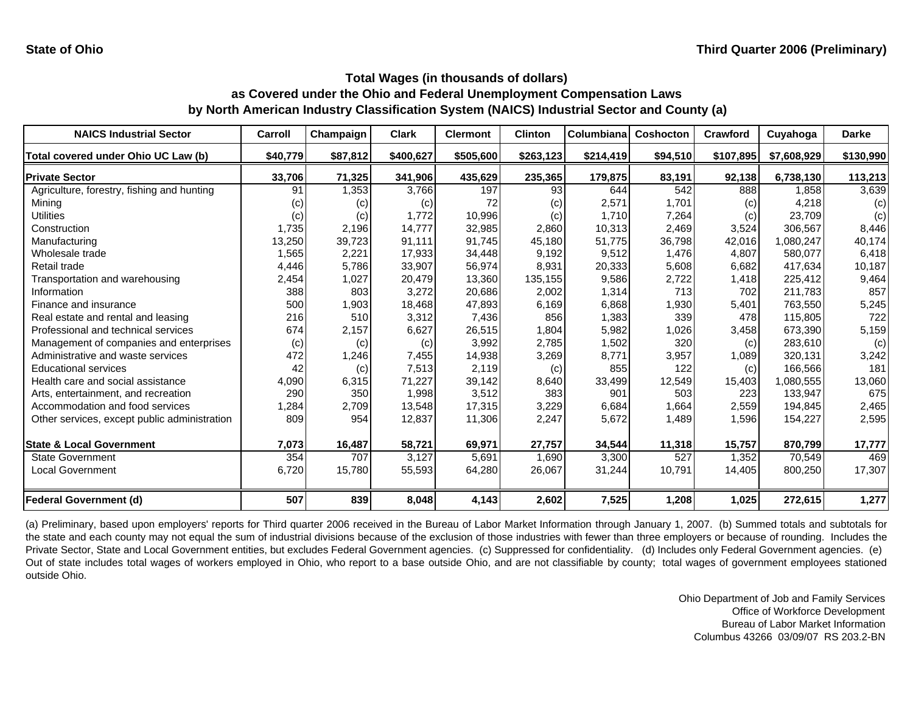| <b>NAICS Industrial Sector</b>               | Carroll  | Champaign | <b>Clark</b> | <b>Clermont</b> | <b>Clinton</b>  | Columbiana | <b>Coshocton</b> | Crawford  | Cuyahoga    | <b>Darke</b> |
|----------------------------------------------|----------|-----------|--------------|-----------------|-----------------|------------|------------------|-----------|-------------|--------------|
| Total covered under Ohio UC Law (b)          | \$40,779 | \$87,812  | \$400,627    | \$505,600       | \$263,123       | \$214,419  | \$94,510         | \$107,895 | \$7,608,929 | \$130,990    |
| <b>Private Sector</b>                        | 33,706   | 71,325    | 341,906      | 435,629         | 235,365         | 179,875    | 83,191           | 92,138    | 6,738,130   | 113,213      |
| Agriculture, forestry, fishing and hunting   | 91       | 1,353     | 3,766        | 197             | 93 <sub>l</sub> | 644        | 542              | 888       | 1,858       | 3,639        |
| Mining                                       | (c)      | (c)       | (c)          | 72              | (c)             | 2,571      | 1,701            | (c)       | 4,218       | (c)          |
| <b>Utilities</b>                             | (c)      | (c)       | 1,772        | 10,996          | (c)             | 1,710      | 7,264            | (c)       | 23,709      | (c)          |
| Construction                                 | 1,735    | 2,196     | 14,777       | 32,985          | 2,860           | 10,313     | 2,469            | 3,524     | 306,567     | 8,446        |
| Manufacturing                                | 13,250   | 39,723    | 91,111       | 91,745          | 45,180          | 51,775     | 36,798           | 42,016    | 1,080,247   | 40,174       |
| Wholesale trade                              | 1,565    | 2,221     | 17,933       | 34,448          | 9,192           | 9,512      | 1,476            | 4,807     | 580,077     | 6,418        |
| Retail trade                                 | 4,446    | 5,786     | 33,907       | 56,974          | 8,931           | 20,333     | 5,608            | 6,682     | 417,634     | 10,187       |
| Transportation and warehousing               | 2,454    | 1,027     | 20,479       | 13,360          | 135,155         | 9,586      | 2,722            | 1,418     | 225,412     | 9,464        |
| Information                                  | 388      | 803       | 3,272        | 20,686          | 2,002           | 1,314      | 713              | 702       | 211,783     | 857          |
| Finance and insurance                        | 500      | 1,903     | 18,468       | 47,893          | 6,169           | 6,868      | 1,930            | 5,401     | 763,550     | 5,245        |
| Real estate and rental and leasing           | 216      | 510       | 3,312        | 7,436           | 856             | 1,383      | 339              | 478       | 115,805     | 722          |
| Professional and technical services          | 674      | 2,157     | 6,627        | 26,515          | 1,804           | 5,982      | 1,026            | 3,458     | 673,390     | 5,159        |
| Management of companies and enterprises      | (c)      | (c)       | (c)          | 3,992           | 2,785           | 1,502      | 320              | (c)       | 283,610     | (c)          |
| Administrative and waste services            | 472      | 1,246     | 7,455        | 14,938          | 3,269           | 8,771      | 3,957            | 1,089     | 320,131     | 3,242        |
| <b>Educational services</b>                  | 42       | (c)       | 7,513        | 2,119           | (c)             | 855        | 122              | (c)       | 166,566     | 181          |
| Health care and social assistance            | 4,090    | 6,315     | 71,227       | 39,142          | 8,640           | 33,499     | 12,549           | 15,403    | 1,080,555   | 13,060       |
| Arts, entertainment, and recreation          | 290      | 350       | 1,998        | 3,512           | 383             | 901        | 503              | 223       | 133,947     | 675          |
| Accommodation and food services              | 1,284    | 2,709     | 13,548       | 17,315          | 3,229           | 6,684      | 1,664            | 2,559     | 194,845     | 2,465        |
| Other services, except public administration | 809      | 954       | 12,837       | 11,306          | 2,247           | 5,672      | 1,489            | 1,596     | 154,227     | 2,595        |
| <b>State &amp; Local Government</b>          | 7,073    | 16,487    | 58,721       | 69,971          | 27,757          | 34,544     | 11,318           | 15,757    | 870,799     | 17,777       |
| <b>State Government</b>                      | 354      | 707       | 3,127        | 5,691           | 1,690           | 3,300      | 527              | 1,352     | 70,549      | 469          |
| Local Government                             | 6,720    | 15,780    | 55,593       | 64,280          | 26,067          | 31,244     | 10,791           | 14,405    | 800,250     | 17,307       |
| <b>Federal Government (d)</b>                | 507      | 839       | 8,048        | 4,143           | 2,602           | 7,525      | 1,208            | 1,025     | 272,615     | 1,277        |

(a) Preliminary, based upon employers' reports for Third quarter 2006 received in the Bureau of Labor Market Information through January 1, 2007. (b) Summed totals and subtotals for the state and each county may not equal the sum of industrial divisions because of the exclusion of those industries with fewer than three employers or because of rounding. Includes the Private Sector, State and Local Government entities, but excludes Federal Government agencies. (c) Suppressed for confidentiality. (d) Includes only Federal Government agencies. (e) Out of state includes total wages of workers employed in Ohio, who report to <sup>a</sup> base outside Ohio, and are not classifiable by county; total wages of government employees stationed outside Ohio.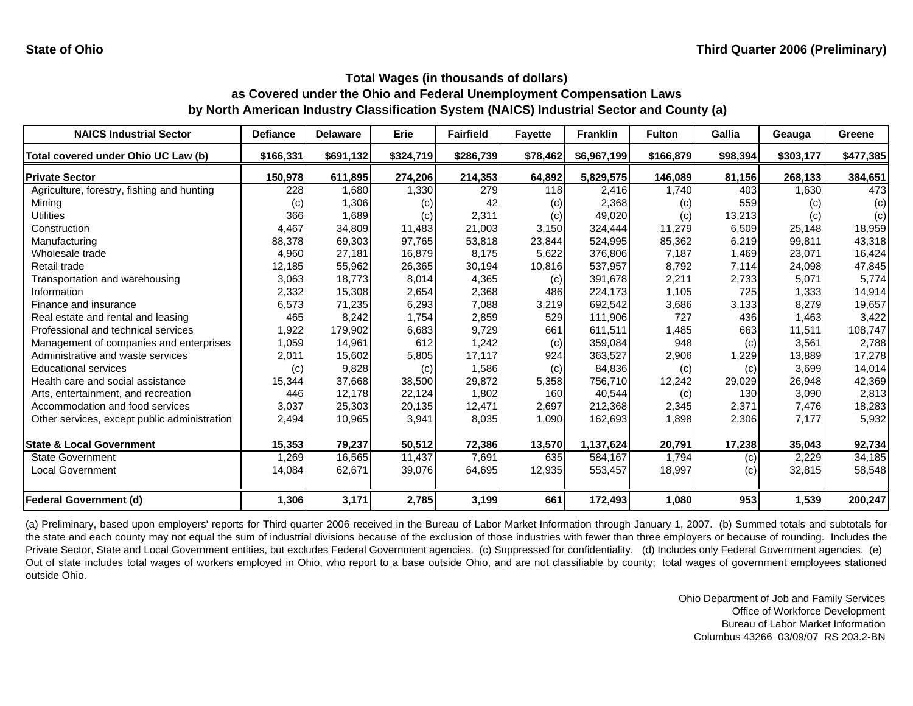| <b>NAICS Industrial Sector</b>               | <b>Defiance</b> | <b>Delaware</b> | <b>Erie</b> | <b>Fairfield</b> | <b>Fayette</b> | <b>Franklin</b> | <b>Fulton</b> | <b>Gallia</b> | Geauga    | Greene    |
|----------------------------------------------|-----------------|-----------------|-------------|------------------|----------------|-----------------|---------------|---------------|-----------|-----------|
| Total covered under Ohio UC Law (b)          | \$166,331       | \$691,132       | \$324,719   | \$286,739        | \$78,462       | \$6,967,199     | \$166,879     | \$98,394      | \$303,177 | \$477,385 |
| <b>Private Sector</b>                        | 150,978         | 611,895         | 274,206     | 214,353          | 64,892         | 5,829,575       | 146,089       | 81,156        | 268,133   | 384,651   |
| Agriculture, forestry, fishing and hunting   | 228             | 1,680           | 1,330       | 279              | 118            | 2,416           | 1.740         | 403           | 1,630     | 473       |
| Mining                                       | (c)             | 1,306           | (c)         | 42               | (c)            | 2,368           | (c)           | 559           | (c)       | (c)       |
| Utilities                                    | 366             | 1,689           | (c)         | 2,311            | (c)            | 49,020          | (c)           | 13,213        | (c)       | (c)       |
| Construction                                 | 4,467           | 34,809          | 11,483      | 21,003           | 3,150          | 324,444         | 11,279        | 6,509         | 25,148    | 18,959    |
| Manufacturing                                | 88,378          | 69,303          | 97,765      | 53,818           | 23,844         | 524,995         | 85,362        | 6,219         | 99,811    | 43,318    |
| Wholesale trade                              | 4,960           | 27,181          | 16,879      | 8,175            | 5,622          | 376,806         | 7,187         | 1,469         | 23,071    | 16,424    |
| Retail trade                                 | 12,185          | 55,962          | 26,365      | 30,194           | 10,816         | 537,957         | 8,792         | 7,114         | 24,098    | 47,845    |
| Transportation and warehousing               | 3,063           | 18,773          | 8,014       | 4,365            | (c)            | 391,678         | 2,211         | 2,733         | 5,071     | 5,774     |
| Information                                  | 2,332           | 15,308          | 2,654       | 2,368            | 486            | 224,173         | 1,105         | 725           | 1,333     | 14,914    |
| Finance and insurance                        | 6,573           | 71,235          | 6,293       | 7,088            | 3,219          | 692,542         | 3,686         | 3,133         | 8,279     | 19,657    |
| Real estate and rental and leasing           | 465             | 8,242           | 1,754       | 2,859            | 529            | 111,906         | 727           | 436           | 1.463     | 3,422     |
| Professional and technical services          | 1,922           | 179,902         | 6,683       | 9,729            | 661            | 611,511         | 1,485         | 663           | 11,511    | 108,747   |
| Management of companies and enterprises      | 1,059           | 14,961          | 612         | 1,242            | (c)            | 359,084         | 948           | (c)           | 3,561     | 2,788     |
| Administrative and waste services            | 2,011           | 15,602          | 5,805       | 17,117           | 924            | 363,527         | 2,906         | 1,229         | 13.889    | 17,278    |
| <b>Educational services</b>                  | (c)             | 9,828           | (c)         | 1,586            | (c)            | 84,836          | (c)           | (c)           | 3,699     | 14,014    |
| Health care and social assistance            | 15,344          | 37,668          | 38,500      | 29,872           | 5,358          | 756,710         | 12,242        | 29,029        | 26,948    | 42,369    |
| Arts, entertainment, and recreation          | 446             | 12,178          | 22,124      | 1,802            | 160            | 40,544          | (c)           | 130           | 3.090     | 2,813     |
| Accommodation and food services              | 3,037           | 25,303          | 20,135      | 12,471           | 2,697          | 212,368         | 2,345         | 2,371         | 7,476     | 18,283    |
| Other services, except public administration | 2,494           | 10,965          | 3,941       | 8,035            | 1,090          | 162,693         | 1,898         | 2,306         | 7,177     | 5,932     |
| <b>State &amp; Local Government</b>          | 15,353          | 79,237          | 50,512      | 72,386           | 13,570         | 1,137,624       | 20,791        | 17,238        | 35,043    | 92,734    |
| <b>State Government</b>                      | 1,269           | 16,565          | 11,437      | 7,691            | 635            | 584,167         | 1,794         | (c)           | 2,229     | 34,185    |
| <b>Local Government</b>                      | 14,084          | 62,671          | 39,076      | 64,695           | 12,935         | 553,457         | 18,997        | (c)           | 32,815    | 58,548    |
| <b>Federal Government (d)</b>                | 1,306           | 3,171           | 2,785       | 3,199            | 661            | 172,493         | 1,080         | 953           | 1,539     | 200,247   |

(a) Preliminary, based upon employers' reports for Third quarter 2006 received in the Bureau of Labor Market Information through January 1, 2007. (b) Summed totals and subtotals for the state and each county may not equal the sum of industrial divisions because of the exclusion of those industries with fewer than three employers or because of rounding. Includes the Private Sector, State and Local Government entities, but excludes Federal Government agencies. (c) Suppressed for confidentiality. (d) Includes only Federal Government agencies. (e) Out of state includes total wages of workers employed in Ohio, who report to <sup>a</sup> base outside Ohio, and are not classifiable by county; total wages of government employees stationed outside Ohio.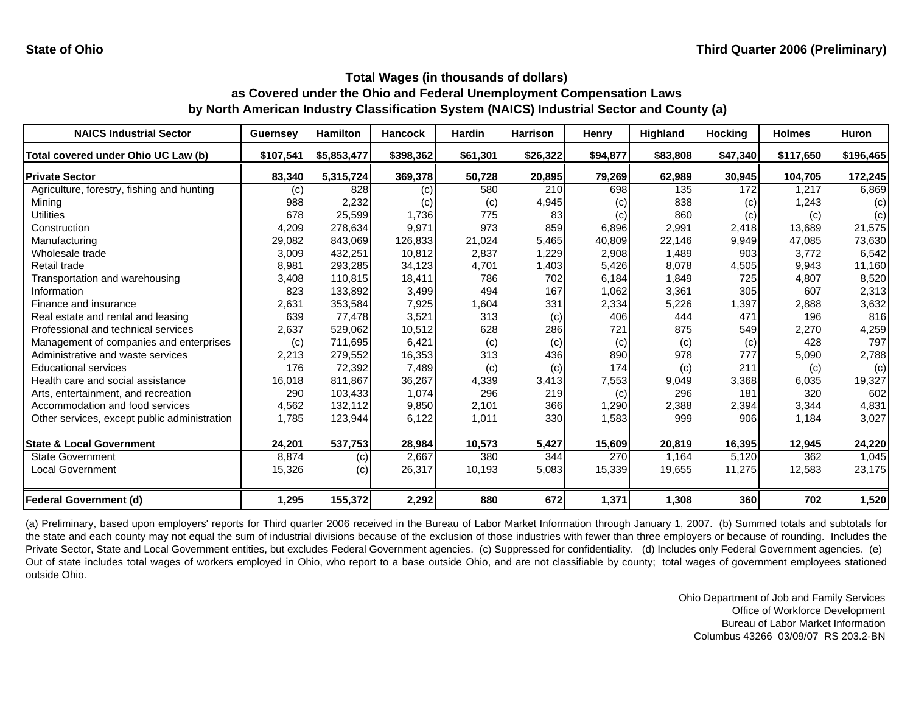| <b>NAICS Industrial Sector</b>               | <b>Guernsey</b> | <b>Hamilton</b> | <b>Hancock</b> | <b>Hardin</b> | <b>Harrison</b> | Henry    | Highland | <b>Hocking</b> | <b>Holmes</b> | <b>Huron</b> |
|----------------------------------------------|-----------------|-----------------|----------------|---------------|-----------------|----------|----------|----------------|---------------|--------------|
| Total covered under Ohio UC Law (b)          | \$107,541       | \$5,853,477     | \$398,362      | \$61,301      | \$26,322        | \$94,877 | \$83,808 | \$47,340       | \$117,650     | \$196,465    |
| <b>Private Sector</b>                        | 83,340          | 5,315,724       | 369,378        | 50,728        | 20,895          | 79,269   | 62,989   | 30,945         | 104,705       | 172,245      |
| Agriculture, forestry, fishing and hunting   | (c)             | 828             | (c)            | 580           | 210             | 698      | 135      | 172            | 1,217         | 6,869        |
| Mining                                       | 988             | 2,232           | (c)            | (c)           | 4,945           | (c)      | 838      | (c)            | 1,243         | (c)          |
| <b>Utilities</b>                             | 678             | 25,599          | 1,736          | 775           | 83              | (c)      | 860      | (c)            | (c)           | (c)          |
| Construction                                 | 4,209           | 278,634         | 9.971          | 973           | 859             | 6,896    | 2,991    | 2,418          | 13.689        | 21,575       |
| Manufacturing                                | 29,082          | 843,069         | 126,833        | 21,024        | 5,465           | 40,809   | 22,146   | 9,949          | 47.085        | 73,630       |
| Wholesale trade                              | 3,009           | 432,251         | 10,812         | 2,837         | 1,229           | 2,908    | 1,489    | 903            | 3,772         | 6,542        |
| Retail trade                                 | 8,981           | 293,285         | 34,123         | 4,701         | 1,403           | 5,426    | 8,078    | 4,505          | 9,943         | 11,160       |
| Transportation and warehousing               | 3,408           | 110,815         | 18,411         | 786           | 702             | 6,184    | 1,849    | 725            | 4,807         | 8,520        |
| Information                                  | 823             | 133,892         | 3,499          | 494           | 167             | 1,062    | 3,361    | 305            | 607           | 2,313        |
| Finance and insurance                        | 2,631           | 353,584         | 7,925          | 1,604         | 331             | 2,334    | 5,226    | 1,397          | 2,888         | 3,632        |
| Real estate and rental and leasing           | 639             | 77,478          | 3,521          | 313           | (c)             | 406      | 444      | 471            | 196           | 816          |
| Professional and technical services          | 2,637           | 529,062         | 10,512         | 628           | 286             | 721      | 875      | 549            | 2,270         | 4,259        |
| Management of companies and enterprises      | (c)             | 711,695         | 6,421          | (c)           | (c)             | (c)      | (c)      | (c)            | 428           | 797          |
| Administrative and waste services            | 2,213           | 279,552         | 16,353         | 313           | 436             | 890      | 978      | 777            | 5,090         | 2,788        |
| <b>Educational services</b>                  | 176             | 72,392          | 7,489          | (c)           | (c)             | 174      | (c)      | 211            | (c)           | (c)          |
| Health care and social assistance            | 16,018          | 811,867         | 36,267         | 4,339         | 3,413           | 7,553    | 9,049    | 3,368          | 6,035         | 19,327       |
| Arts, entertainment, and recreation          | 290             | 103,433         | 1,074          | 296           | 219             | (c)      | 296      | 181            | 320           | 602          |
| Accommodation and food services              | 4,562           | 132,112         | 9,850          | 2,101         | 366             | 1,290    | 2,388    | 2,394          | 3.344         | 4,831        |
| Other services, except public administration | 1,785           | 123,944         | 6,122          | 1,011         | 330             | 1,583    | 999      | 906            | 1,184         | 3,027        |
| <b>State &amp; Local Government</b>          | 24,201          | 537,753         | 28,984         | 10,573        | 5,427           | 15,609   | 20,819   | 16,395         | 12,945        | 24,220       |
| <b>State Government</b>                      | 8,874           | (c)             | 2,667          | 380           | 344             | 270      | 1.164    | 5,120          | 362           | 1,045        |
| <b>Local Government</b>                      | 15,326          | (c)             | 26,317         | 10,193        | 5,083           | 15,339   | 19,655   | 11,275         | 12,583        | 23,175       |
| <b>Federal Government (d)</b>                | 1,295           | 155,372         | 2,292          | 880           | 672             | 1,371    | 1,308    | 360            | 702           | 1,520        |

(a) Preliminary, based upon employers' reports for Third quarter 2006 received in the Bureau of Labor Market Information through January 1, 2007. (b) Summed totals and subtotals for the state and each county may not equal the sum of industrial divisions because of the exclusion of those industries with fewer than three employers or because of rounding. Includes the Private Sector, State and Local Government entities, but excludes Federal Government agencies. (c) Suppressed for confidentiality. (d) Includes only Federal Government agencies. (e) Out of state includes total wages of workers employed in Ohio, who report to <sup>a</sup> base outside Ohio, and are not classifiable by county; total wages of government employees stationed outside Ohio.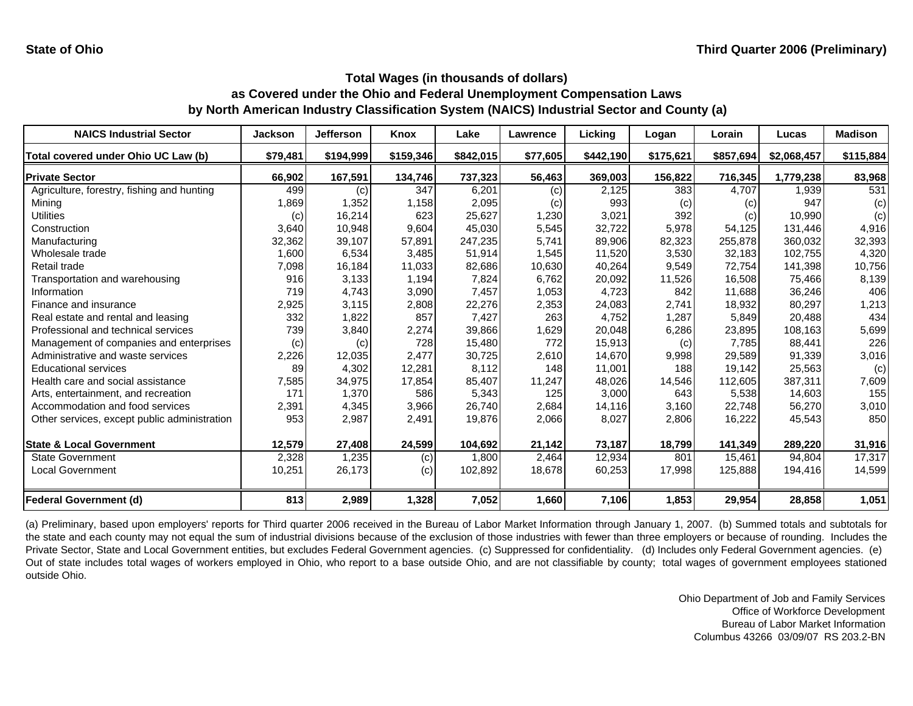| <b>NAICS Industrial Sector</b>               | <b>Jackson</b> | <b>Jefferson</b> | Knox      | Lake      | Lawrence | Licking   | Logan     | Lorain    | Lucas       | <b>Madison</b> |
|----------------------------------------------|----------------|------------------|-----------|-----------|----------|-----------|-----------|-----------|-------------|----------------|
| Total covered under Ohio UC Law (b)          | \$79,481       | \$194,999        | \$159,346 | \$842,015 | \$77,605 | \$442,190 | \$175,621 | \$857,694 | \$2,068,457 | \$115,884      |
| <b>Private Sector</b>                        | 66,902         | 167,591          | 134,746   | 737,323   | 56,463   | 369,003   | 156,822   | 716,345   | 1,779,238   | 83,968         |
| Agriculture, forestry, fishing and hunting   | 499            | (c)              | 347       | 6,201     | (c)      | 2,125     | 383       | 4,707     | 1,939       | 531            |
| Mining                                       | 1,869          | 1,352            | 1,158     | 2,095     | (c)      | 993       | (c)       | (c)       | 947         | (c)            |
| Utilities                                    | (c)            | 16,214           | 623       | 25,627    | 1,230    | 3,021     | 392       | (c)       | 10,990      | (c)            |
| Construction                                 | 3,640          | 10,948           | 9,604     | 45,030    | 5,545    | 32,722    | 5,978     | 54,125    | 131,446     | 4,916          |
| Manufacturing                                | 32,362         | 39,107           | 57,891    | 247,235   | 5,741    | 89,906    | 82,323    | 255,878   | 360,032     | 32,393         |
| Wholesale trade                              | 1,600          | 6,534            | 3,485     | 51,914    | 1,545    | 11,520    | 3,530     | 32,183    | 102,755     | 4,320          |
| Retail trade                                 | 7,098          | 16,184           | 11,033    | 82,686    | 10,630   | 40,264    | 9,549     | 72,754    | 141,398     | 10,756         |
| Transportation and warehousing               | 916            | 3,133            | 1,194     | 7,824     | 6,762    | 20,092    | 11,526    | 16,508    | 75,466      | 8,139          |
| Information                                  | 719            | 4,743            | 3,090     | 7,457     | 1,053    | 4,723     | 842       | 11.688    | 36,246      | 406            |
| Finance and insurance                        | 2,925          | 3,115            | 2,808     | 22,276    | 2,353    | 24,083    | 2,741     | 18,932    | 80,297      | 1,213          |
| Real estate and rental and leasing           | 332            | 1,822            | 857       | 7,427     | 263      | 4,752     | 1,287     | 5,849     | 20,488      | 434            |
| Professional and technical services          | 739            | 3,840            | 2,274     | 39,866    | 1,629    | 20,048    | 6,286     | 23,895    | 108,163     | 5,699          |
| Management of companies and enterprises      | (c)            | (c)              | 728       | 15,480    | 772      | 15,913    | (c)       | 7,785     | 88,441      | 226            |
| Administrative and waste services            | 2,226          | 12,035           | 2,477     | 30,725    | 2,610    | 14,670    | 9,998     | 29,589    | 91,339      | 3,016          |
| <b>Educational services</b>                  | 89             | 4,302            | 12,281    | 8,112     | 148      | 11,001    | 188       | 19,142    | 25,563      | (c)            |
| Health care and social assistance            | 7,585          | 34,975           | 17,854    | 85,407    | 11,247   | 48,026    | 14,546    | 112,605   | 387,311     | 7,609          |
| Arts, entertainment, and recreation          | 171            | 1,370            | 586       | 5,343     | 125      | 3,000     | 643       | 5,538     | 14,603      | 155            |
| Accommodation and food services              | 2,391          | 4,345            | 3,966     | 26,740    | 2,684    | 14,116    | 3,160     | 22,748    | 56,270      | 3,010          |
| Other services, except public administration | 953            | 2,987            | 2,491     | 19,876    | 2,066    | 8,027     | 2,806     | 16,222    | 45,543      | 850            |
| <b>State &amp; Local Government</b>          | 12,579         | 27,408           | 24,599    | 104,692   | 21,142   | 73,187    | 18,799    | 141,349   | 289,220     | 31,916         |
| <b>State Government</b>                      | 2,328          | 1,235            | (c)       | 1,800     | 2,464    | 12,934    | 801       | 15,461    | 94,804      | 17,317         |
| <b>Local Government</b>                      | 10,251         | 26,173           | (c)       | 102,892   | 18,678   | 60,253    | 17,998    | 125,888   | 194,416     | 14,599         |
| <b>Federal Government (d)</b>                | 813            | 2,989            | 1,328     | 7,052     | 1,660    | 7,106     | 1,853     | 29,954    | 28,858      | 1,051          |

(a) Preliminary, based upon employers' reports for Third quarter 2006 received in the Bureau of Labor Market Information through January 1, 2007. (b) Summed totals and subtotals for the state and each county may not equal the sum of industrial divisions because of the exclusion of those industries with fewer than three employers or because of rounding. Includes the Private Sector, State and Local Government entities, but excludes Federal Government agencies. (c) Suppressed for confidentiality. (d) Includes only Federal Government agencies. (e) Out of state includes total wages of workers employed in Ohio, who report to <sup>a</sup> base outside Ohio, and are not classifiable by county; total wages of government employees stationed outside Ohio.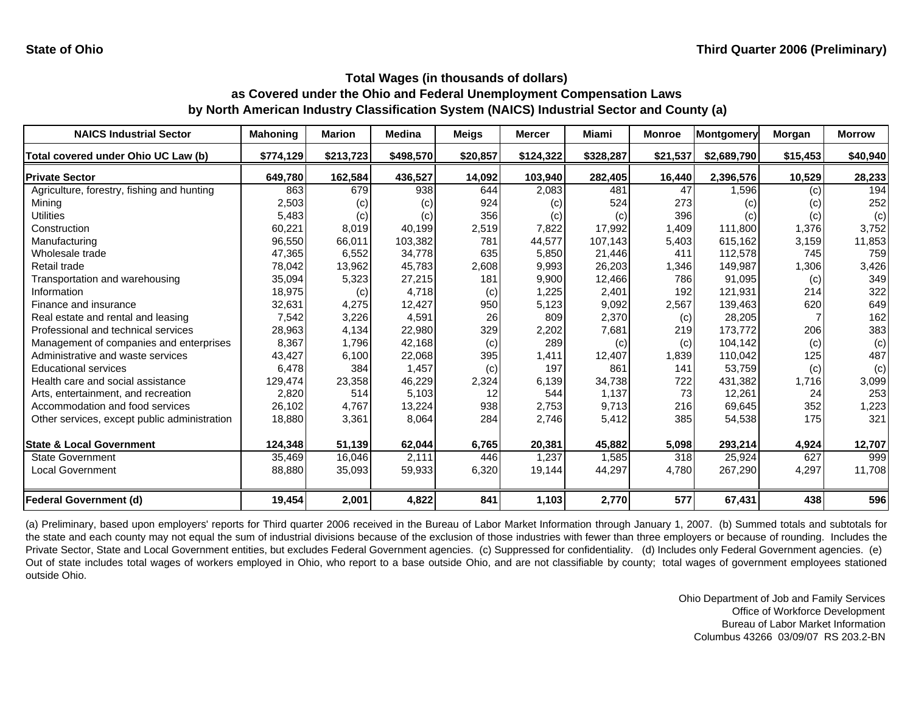| <b>NAICS Industrial Sector</b>               | <b>Mahoning</b> | <b>Marion</b> | <b>Medina</b> | Meigs    | <b>Mercer</b> | Miami     | <b>Monroe</b> | Montgomery  | Morgan   | <b>Morrow</b> |
|----------------------------------------------|-----------------|---------------|---------------|----------|---------------|-----------|---------------|-------------|----------|---------------|
| Total covered under Ohio UC Law (b)          | \$774,129       | \$213,723     | \$498,570     | \$20,857 | \$124,322     | \$328,287 | \$21,537      | \$2,689,790 | \$15,453 | \$40,940      |
| <b>Private Sector</b>                        | 649,780         | 162,584       | 436,527       | 14,092   | 103,940       | 282,405   | 16,440        | 2,396,576   | 10,529   | 28,233        |
| Agriculture, forestry, fishing and hunting   | 863             | 679           | 938           | 644      | 2,083         | 481       | 47            | 1,596       | (c)      | 194           |
| Mining                                       | 2,503           | (c)           | (c)           | 924      | (c)           | 524       | 273           | (c)         | (c)      | 252           |
| <b>Utilities</b>                             | 5,483           | (c)           | (c)           | 356      | (c)           | (c)       | 396           | (c)         | (c)      | (c)           |
| Construction                                 | 60,221          | 8,019         | 40,199        | 2,519    | 7,822         | 17,992    | 1,409         | 111,800     | 1,376    | 3,752         |
| Manufacturing                                | 96,550          | 66,011        | 103,382       | 781      | 44,577        | 107,143   | 5,403         | 615,162     | 3,159    | 11,853        |
| Wholesale trade                              | 47,365          | 6,552         | 34,778        | 635      | 5,850         | 21,446    | 411           | 112,578     | 745      | 759           |
| Retail trade                                 | 78,042          | 13,962        | 45,783        | 2,608    | 9,993         | 26,203    | 1,346         | 149,987     | 1,306    | 3,426         |
| Transportation and warehousing               | 35,094          | 5,323         | 27,215        | 181      | 9,900         | 12,466    | 786           | 91,095      | (c)      | 349           |
| Information                                  | 18,975          | (c)           | 4.718         | (c)      | 1,225         | 2,401     | 192           | 121.931     | 214      | 322           |
| Finance and insurance                        | 32,631          | 4,275         | 12,427        | 950      | 5,123         | 9,092     | 2,567         | 139,463     | 620      | 649           |
| Real estate and rental and leasing           | 7,542           | 3,226         | 4,591         | 26       | 809           | 2,370     | (c)           | 28,205      |          | 162           |
| Professional and technical services          | 28,963          | 4,134         | 22,980        | 329      | 2,202         | 7,681     | 219           | 173,772     | 206      | 383           |
| Management of companies and enterprises      | 8,367           | 1,796         | 42,168        | (c)      | 289           | (c)       | (c)           | 104,142     | (c)      | (c)           |
| Administrative and waste services            | 43,427          | 6,100         | 22,068        | 395      | 1,411         | 12,407    | 1,839         | 110,042     | 125      | 487           |
| <b>Educational services</b>                  | 6,478           | 384           | 1,457         | (c)      | 197           | 861       | 141           | 53,759      | (c)      | (c)           |
| Health care and social assistance            | 129,474         | 23,358        | 46,229        | 2,324    | 6,139         | 34,738    | 722           | 431,382     | 1,716    | 3,099         |
| Arts, entertainment, and recreation          | 2,820           | 514           | 5,103         | 12       | 544           | 1,137     | 73            | 12,261      | 24       | 253           |
| Accommodation and food services              | 26,102          | 4,767         | 13,224        | 938      | 2,753         | 9,713     | 216           | 69,645      | 352      | 1,223         |
| Other services, except public administration | 18,880          | 3,361         | 8,064         | 284      | 2,746         | 5,412     | 385           | 54,538      | 175      | 321           |
| <b>State &amp; Local Government</b>          | 124,348         | 51,139        | 62,044        | 6,765    | 20,381        | 45,882    | 5,098         | 293,214     | 4,924    | 12,707        |
| <b>State Government</b>                      | 35,469          | 16,046        | 2,111         | 446      | 1,237         | 1,585     | 318           | 25,924      | 627      | 999           |
| <b>Local Government</b>                      | 88,880          | 35,093        | 59,933        | 6,320    | 19,144        | 44,297    | 4,780         | 267,290     | 4,297    | 11,708        |
| <b>Federal Government (d)</b>                | 19,454          | 2,001         | 4,822         | 841      | 1,103         | 2,770     | 577           | 67,431      | 438      | 596           |

(a) Preliminary, based upon employers' reports for Third quarter 2006 received in the Bureau of Labor Market Information through January 1, 2007. (b) Summed totals and subtotals for the state and each county may not equal the sum of industrial divisions because of the exclusion of those industries with fewer than three employers or because of rounding. Includes the Private Sector, State and Local Government entities, but excludes Federal Government agencies. (c) Suppressed for confidentiality. (d) Includes only Federal Government agencies. (e) Out of state includes total wages of workers employed in Ohio, who report to <sup>a</sup> base outside Ohio, and are not classifiable by county; total wages of government employees stationed outside Ohio.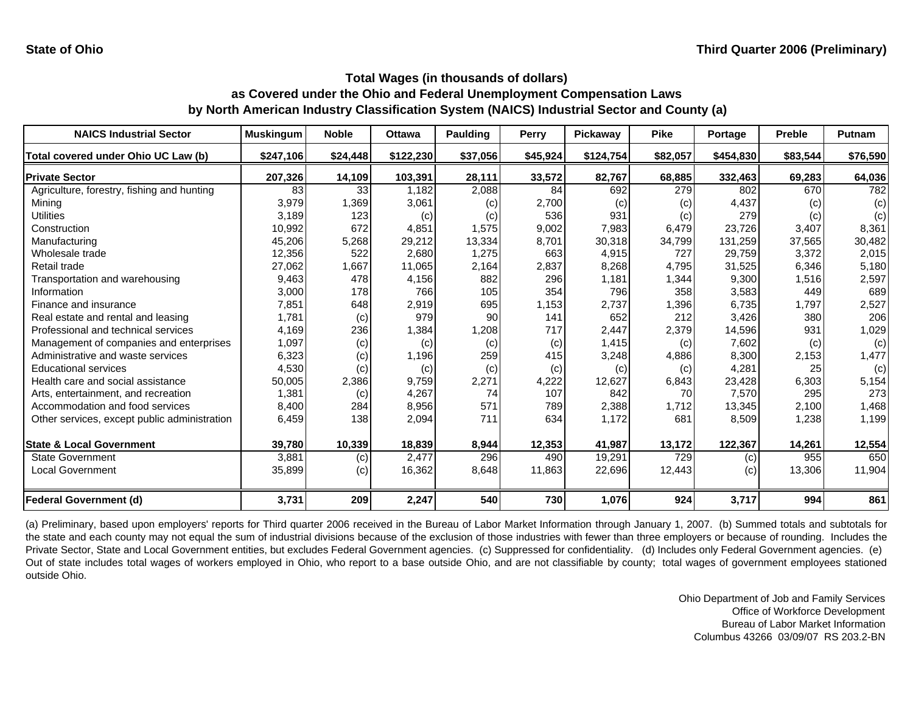| <b>NAICS Industrial Sector</b>               | <b>Muskingum</b> | <b>Noble</b> | <b>Ottawa</b> | <b>Paulding</b> | Perry    | Pickaway  | <b>Pike</b> | Portage   | <b>Preble</b> | Putnam   |
|----------------------------------------------|------------------|--------------|---------------|-----------------|----------|-----------|-------------|-----------|---------------|----------|
| Total covered under Ohio UC Law (b)          | \$247,106        | \$24,448     | \$122,230     | \$37,056        | \$45,924 | \$124,754 | \$82,057    | \$454,830 | \$83,544      | \$76,590 |
| <b>Private Sector</b>                        | 207,326          | 14,109       | 103,391       | 28,111          | 33,572   | 82,767    | 68,885      | 332,463   | 69,283        | 64,036   |
| Agriculture, forestry, fishing and hunting   | 83               | 33           | 1,182         | 2,088           | 84       | 692       | 279         | 802       | 670           | 782      |
| Mining                                       | 3,979            | 1,369        | 3,061         | (c)             | 2,700    | (c)       | (c)         | 4,437     | (c)           | (c)      |
| Utilities                                    | 3,189            | 123          | (c)           | (c)             | 536      | 931       | (c)         | 279       | (c)           | (c)      |
| Construction                                 | 10,992           | 672          | 4,851         | 1,575           | 9,002    | 7,983     | 6,479       | 23,726    | 3,407         | 8,361    |
| Manufacturing                                | 45,206           | 5,268        | 29,212        | 13,334          | 8,701    | 30,318    | 34,799      | 131,259   | 37,565        | 30,482   |
| Wholesale trade                              | 12,356           | 522          | 2,680         | 1,275           | 663      | 4,915     | 727         | 29,759    | 3,372         | 2,015    |
| Retail trade                                 | 27,062           | 1,667        | 11,065        | 2,164           | 2,837    | 8,268     | 4,795       | 31,525    | 6,346         | 5,180    |
| Transportation and warehousing               | 9,463            | 478          | 4,156         | 882             | 296      | 1,181     | 1,344       | 9,300     | 1,516         | 2,597    |
| Information                                  | 3,000            | 178          | 766           | 105             | 354      | 796       | 358         | 3,583     | 449           | 689      |
| Finance and insurance                        | 7,851            | 648          | 2,919         | 695             | 1,153    | 2,737     | 1,396       | 6,735     | 1,797         | 2,527    |
| Real estate and rental and leasing           | 1,781            | (c)          | 979           | 90              | 141      | 652       | 212         | 3,426     | 380           | 206      |
| Professional and technical services          | 4,169            | 236          | 1,384         | 1,208           | 717      | 2,447     | 2,379       | 14,596    | 931           | 1,029    |
| Management of companies and enterprises      | 1,097            | (c)          | (c)           | (c)             | (c)      | 1,415     | (c)         | 7,602     | (c)           | (c)      |
| Administrative and waste services            | 6,323            | (c)          | 1,196         | 259             | 415      | 3,248     | 4,886       | 8,300     | 2,153         | 1,477    |
| <b>Educational services</b>                  | 4,530            | (c)          | (c)           | (c)             | (c)      | (c)       | (c)         | 4,281     | 25            | (c)      |
| Health care and social assistance            | 50,005           | 2,386        | 9,759         | 2,271           | 4,222    | 12,627    | 6,843       | 23,428    | 6,303         | 5,154    |
| Arts, entertainment, and recreation          | 1,381            | (c)          | 4,267         | 74              | 107      | 842       | 70          | 7,570     | 295           | 273      |
| Accommodation and food services              | 8,400            | 284          | 8,956         | 571             | 789      | 2,388     | 1,712       | 13,345    | 2,100         | 1,468    |
| Other services, except public administration | 6,459            | 138          | 2,094         | 711             | 634      | 1,172     | 681         | 8,509     | 1,238         | 1,199    |
| <b>State &amp; Local Government</b>          | 39,780           | 10,339       | 18,839        | 8,944           | 12,353   | 41,987    | 13,172      | 122,367   | 14,261        | 12,554   |
| <b>State Government</b>                      | 3,881            | (c)          | 2,477         | 296             | 490      | 19,291    | 729         | (c)       | 955           | 650      |
| <b>Local Government</b>                      | 35,899           | (c)          | 16,362        | 8,648           | 11,863   | 22,696    | 12,443      | (c)       | 13,306        | 11,904   |
| <b>Federal Government (d)</b>                | 3,731            | 209          | 2,247         | 540             | 730      | 1,076     | 924         | 3,717     | 994           | 861      |

(a) Preliminary, based upon employers' reports for Third quarter 2006 received in the Bureau of Labor Market Information through January 1, 2007. (b) Summed totals and subtotals for the state and each county may not equal the sum of industrial divisions because of the exclusion of those industries with fewer than three employers or because of rounding. Includes the Private Sector, State and Local Government entities, but excludes Federal Government agencies. (c) Suppressed for confidentiality. (d) Includes only Federal Government agencies. (e) Out of state includes total wages of workers employed in Ohio, who report to <sup>a</sup> base outside Ohio, and are not classifiable by county; total wages of government employees stationed outside Ohio.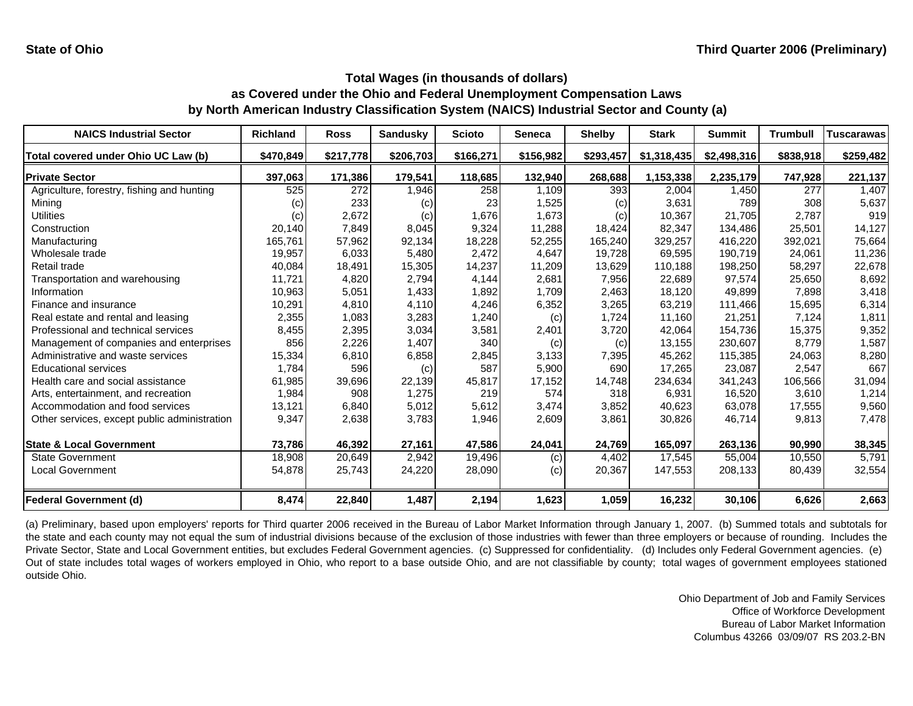| <b>NAICS Industrial Sector</b>               | <b>Richland</b>   | <b>Ross</b> | <b>Sandusky</b> | <b>Scioto</b> | <b>Seneca</b> | <b>Shelby</b> | <b>Stark</b> | <b>Summit</b> | <b>Trumbull</b> | <b>Tuscarawas</b> |
|----------------------------------------------|-------------------|-------------|-----------------|---------------|---------------|---------------|--------------|---------------|-----------------|-------------------|
| Total covered under Ohio UC Law (b)          | \$470,849         | \$217,778   | \$206,703       | \$166,271     | \$156,982     | \$293,457     | \$1,318,435  | \$2,498,316   | \$838,918       | \$259,482         |
| <b>Private Sector</b>                        | 397,063           | 171,386     | 179,541         | 118,685       | 132,940       | 268,688       | 1,153,338    | 2,235,179     | 747,928         | 221,137           |
| Agriculture, forestry, fishing and hunting   | 525               | 272         | 1,946           | 258           | 1,109         | 393           | 2,004        | 1,450         | 277             | 1,407             |
| Mining                                       | $\left( c\right)$ | 233         | (c)             | 23            | 1,525         | (c)           | 3,631        | 789           | 308             | 5,637             |
| Utilities                                    | (c)               | 2,672       | (c)             | 1,676         | 1,673         | (c)           | 10,367       | 21,705        | 2,787           | 919               |
| Construction                                 | 20,140            | 7,849       | 8,045           | 9,324         | 11,288        | 18,424        | 82.347       | 134.486       | 25.501          | 14,127            |
| Manufacturing                                | 165,761           | 57,962      | 92,134          | 18,228        | 52,255        | 165,240       | 329,257      | 416,220       | 392,021         | 75,664            |
| Wholesale trade                              | 19,957            | 6,033       | 5,480           | 2.472         | 4,647         | 19,728        | 69.595       | 190.719       | 24,061          | 11,236            |
| Retail trade                                 | 40,084            | 18,491      | 15,305          | 14,237        | 11,209        | 13,629        | 110.188      | 198,250       | 58,297          | 22,678            |
| Transportation and warehousing               | 11,721            | 4,820       | 2,794           | 4,144         | 2,681         | 7,956         | 22,689       | 97,574        | 25,650          | 8,692             |
| Information                                  | 10,963            | 5,051       | 1,433           | 1,892         | 1,709         | 2,463         | 18.120       | 49.899        | 7.898           | 3,418             |
| Finance and insurance                        | 10,291            | 4,810       | 4,110           | 4,246         | 6,352         | 3,265         | 63,219       | 111,466       | 15,695          | 6,314             |
| Real estate and rental and leasing           | 2,355             | 1,083       | 3,283           | 1,240         | (c)           | 1,724         | 11.160       | 21,251        | 7,124           | 1,811             |
| Professional and technical services          | 8,455             | 2,395       | 3,034           | 3,581         | 2,401         | 3,720         | 42,064       | 154,736       | 15,375          | 9,352             |
| Management of companies and enterprises      | 856               | 2,226       | 1,407           | 340           | (c)           | (c)           | 13.155       | 230.607       | 8.779           | 1,587             |
| Administrative and waste services            | 15,334            | 6,810       | 6,858           | 2,845         | 3,133         | 7,395         | 45,262       | 115,385       | 24,063          | 8,280             |
| <b>Educational services</b>                  | 1,784             | 596         | (c)             | 587           | 5,900         | 690           | 17,265       | 23,087        | 2,547           | 667               |
| Health care and social assistance            | 61,985            | 39,696      | 22,139          | 45,817        | 17,152        | 14,748        | 234,634      | 341,243       | 106,566         | 31,094            |
| Arts, entertainment, and recreation          | 1,984             | 908         | 1,275           | 219           | 574           | 318           | 6,931        | 16,520        | 3,610           | 1,214             |
| Accommodation and food services              | 13,121            | 6,840       | 5,012           | 5,612         | 3,474         | 3,852         | 40,623       | 63,078        | 17,555          | 9,560             |
| Other services, except public administration | 9,347             | 2,638       | 3,783           | 1,946         | 2,609         | 3,861         | 30,826       | 46,714        | 9,813           | 7,478             |
| <b>State &amp; Local Government</b>          | 73,786            | 46,392      | 27,161          | 47,586        | 24,041        | 24,769        | 165,097      | 263,136       | 90,990          | 38,345            |
| <b>State Government</b>                      | 18,908            | 20,649      | 2,942           | 19,496        | (c)           | 4,402         | 17,545       | 55,004        | 10,550          | 5,791             |
| <b>Local Government</b>                      | 54,878            | 25,743      | 24,220          | 28,090        | (c)           | 20,367        | 147,553      | 208,133       | 80,439          | 32,554            |
| <b>Federal Government (d)</b>                | 8,474             | 22,840      | 1,487           | 2,194         | 1,623         | 1,059         | 16,232       | 30,106        | 6,626           | 2,663             |

(a) Preliminary, based upon employers' reports for Third quarter 2006 received in the Bureau of Labor Market Information through January 1, 2007. (b) Summed totals and subtotals for the state and each county may not equal the sum of industrial divisions because of the exclusion of those industries with fewer than three employers or because of rounding. Includes the Private Sector, State and Local Government entities, but excludes Federal Government agencies. (c) Suppressed for confidentiality. (d) Includes only Federal Government agencies. (e) Out of state includes total wages of workers employed in Ohio, who report to <sup>a</sup> base outside Ohio, and are not classifiable by county; total wages of government employees stationed outside Ohio.